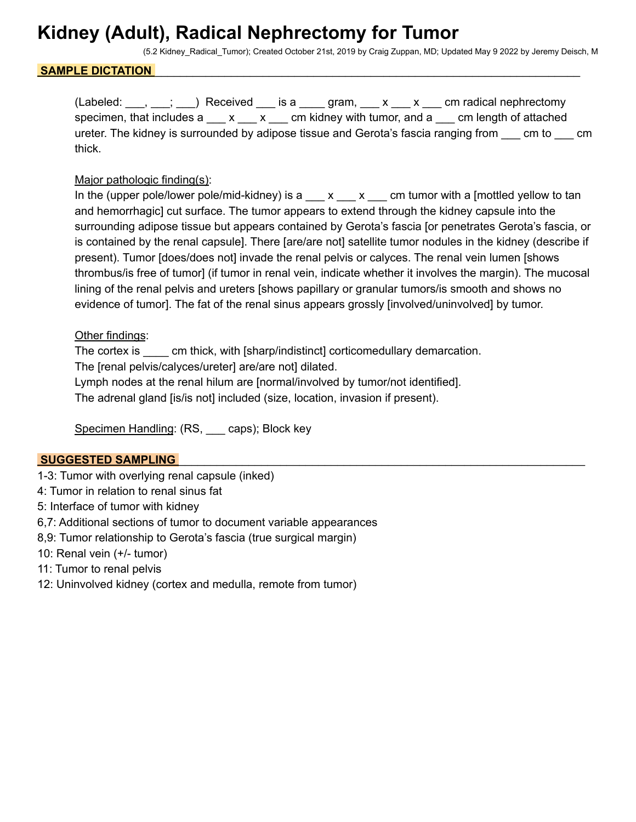## **Kidney (Adult), Radical Nephrectomy for Tumor**

(5.2 Kidney\_Radical\_Tumor); Created October 21st, 2019 by Craig Zuppan, MD; Updated May 9 2022 by Jeremy Deisch, M

### SAMPLE DICTATION

 $(Labeled: \_\_\,, \_\_\_\ )$  Received  $\_\_\_\$  is a  $\_\_\_\$  gram,  $\_\_x \_\_\_x \_\_\_$  cm radical nephrectomy specimen, that includes a \_\_\_ x \_\_\_ x \_\_\_ cm kidney with tumor, and a \_\_\_ cm length of attached ureter. The kidney is surrounded by adipose tissue and Gerota's fascia ranging from cm to cm thick.

### Major pathologic finding(s):

In the (upper pole/lower pole/mid-kidney) is a  $\bar{x}$   $\bar{x}$  cm tumor with a [mottled yellow to tan and hemorrhagic] cut surface. The tumor appears to extend through the kidney capsule into the surrounding adipose tissue but appears contained by Gerota's fascia [or penetrates Gerota's fascia, or is contained by the renal capsule]. There [are/are not] satellite tumor nodules in the kidney (describe if present). Tumor [does/does not] invade the renal pelvis or calyces. The renal vein lumen [shows thrombus/is free of tumor] (if tumor in renal vein, indicate whether it involves the margin). The mucosal lining of the renal pelvis and ureters [shows papillary or granular tumors/is smooth and shows no evidence of tumor]. The fat of the renal sinus appears grossly [involved/uninvolved] by tumor.

### Other findings:

The cortex is \_\_\_\_ cm thick, with [sharp/indistinct] corticomedullary demarcation. The [renal pelvis/calyces/ureter] are/are not] dilated. Lymph nodes at the renal hilum are [normal/involved by tumor/not identified]. The adrenal gland [is/is not] included (size, location, invasion if present).

Specimen Handling: (RS, caps); Block key

## **SUGGESTED SAMPLING**

- 1-3: Tumor with overlying renal capsule (inked)
- 4: Tumor in relation to renal sinus fat
- 5: Interface of tumor with kidney
- 6,7: Additional sections of tumor to document variable appearances
- 8,9: Tumor relationship to Gerota's fascia (true surgical margin)
- 10: Renal vein (+/- tumor)
- 11: Tumor to renal pelvis
- 12: Uninvolved kidney (cortex and medulla, remote from tumor)